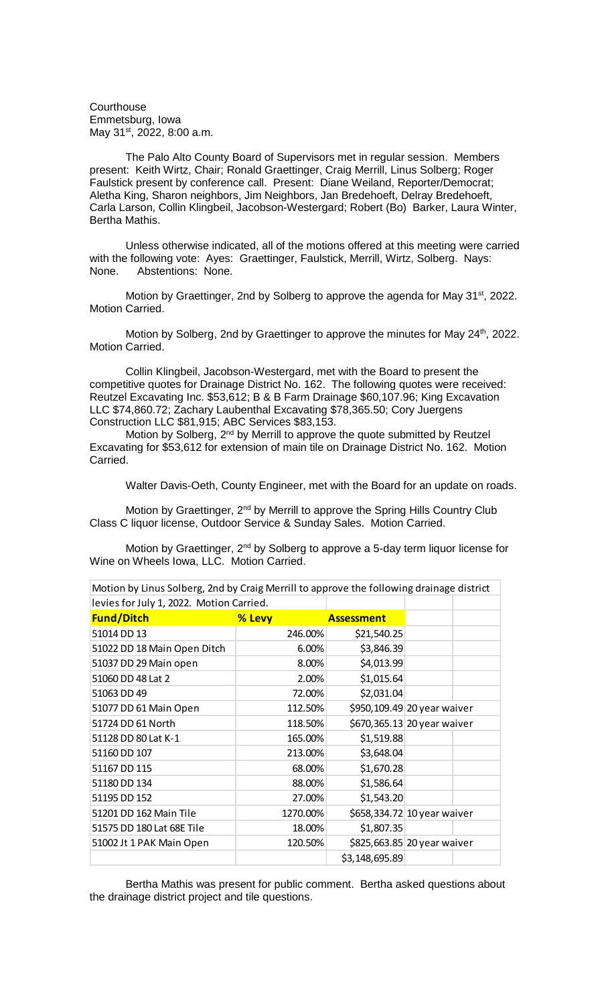**Courthouse** Emmetsburg, Iowa May 31<sup>st</sup>, 2022, 8:00 a.m.

The Palo Alto County Board of Supervisors met in regular session. Members present: Keith Wirtz, Chair; Ronald Graettinger, Craig Merrill, Linus Solberg; Roger Faulstick present by conference call. Present: Diane Weiland, Reporter/Democrat; Aletha King, Sharon neighbors, Jim Neighbors, Jan Bredehoeft, Delray Bredehoeft, Carla Larson, Collin Klingbeil, Jacobson-Westergard; Robert (Bo) Barker, Laura Winter, Bertha Mathis.

Unless otherwise indicated, all of the motions offered at this meeting were carried with the following vote: Ayes: Graettinger, Faulstick, Merrill, Wirtz, Solberg. Nays: None. Abstentions: None.

Motion by Graettinger, 2nd by Solberg to approve the agenda for May 31<sup>st</sup>, 2022. Motion Carried.

Motion by Solberg, 2nd by Graettinger to approve the minutes for May 24<sup>th</sup>, 2022. Motion Carried.

Collin Klingbeil, Jacobson-Westergard, met with the Board to present the competitive quotes for Drainage District No. 162. The following quotes were received: Reutzel Excavating Inc. \$53,612; B & B Farm Drainage \$60,107.96; King Excavation LLC \$74,860.72; Zachary Laubenthal Excavating \$78,365.50; Cory Juergens Construction LLC \$81,915; ABC Services \$83,153.

Motion by Solberg, 2<sup>nd</sup> by Merrill to approve the quote submitted by Reutzel Excavating for \$53,612 for extension of main tile on Drainage District No. 162. Motion Carried.

Walter Davis-Oeth, County Engineer, met with the Board for an update on roads.

Motion by Graettinger, 2<sup>nd</sup> by Merrill to approve the Spring Hills Country Club Class C liquor license, Outdoor Service & Sunday Sales. Motion Carried.

Motion by Graettinger, 2<sup>nd</sup> by Solberg to approve a 5-day term liquor license for Wine on Wheels Iowa, LLC. Motion Carried.

| Motion by Linus Solberg, 2nd by Craig Merrill to approve the following drainage district |          |                   |                             |
|------------------------------------------------------------------------------------------|----------|-------------------|-----------------------------|
| levies for July 1, 2022. Motion Carried.                                                 |          |                   |                             |
| <b>Fund/Ditch</b>                                                                        | % Levy   | <b>Assessment</b> |                             |
| 51014 DD 13                                                                              | 246.00%  | \$21,540.25       |                             |
| 51022 DD 18 Main Open Ditch                                                              | 6.00%    | \$3,846.39        |                             |
| 51037 DD 29 Main open                                                                    | 8.00%    | \$4,013.99        |                             |
| 51060 DD 48 Lat 2                                                                        | 2.00%    | \$1,015.64        |                             |
| 51063 DD 49                                                                              | 72.00%   | \$2,031.04        |                             |
| 51077 DD 61 Main Open                                                                    | 112.50%  |                   | \$950,109.49 20 year waiver |
| 51724 DD 61 North                                                                        | 118.50%  |                   | \$670,365.13 20 year waiver |
| 51128 DD 80 Lat K-1                                                                      | 165.00%  | \$1,519.88        |                             |
| 51160 DD 107                                                                             | 213.00%  | \$3,648.04        |                             |
| 51167 DD 115                                                                             | 68.00%   | \$1,670.28        |                             |
| 51180 DD 134                                                                             | 88.00%   | \$1,586.64        |                             |
| 51195 DD 152                                                                             | 27.00%   | \$1,543.20        |                             |
| 51201 DD 162 Main Tile                                                                   | 1270.00% |                   | \$658,334.72 10 year waiver |
| 51575 DD 180 Lat 68E Tile                                                                | 18.00%   | \$1,807.35        |                             |
| 51002 Jt 1 PAK Main Open                                                                 | 120.50%  |                   | \$825,663.85 20 year waiver |
|                                                                                          |          | \$3,148,695.89    |                             |

Bertha Mathis was present for public comment. Bertha asked questions about the drainage district project and tile questions.